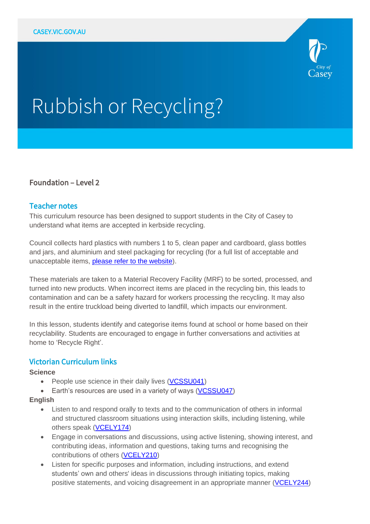

# Rubbish or Recycling?

# Foundation – Level 2

## Teacher notes

This curriculum resource has been designed to support students in the City of Casey to understand what items are accepted in kerbside recycling.

Council collects hard plastics with numbers 1 to 5, clean paper and cardboard, glass bottles and jars, and aluminium and steel packaging for recycling (for a full list of acceptable and unacceptable items, [please refer to the website\)](https://www.casey.vic.gov.au/what-you-can-put-your-bins).

These materials are taken to a Material Recovery Facility (MRF) to be sorted, processed, and turned into new products. When incorrect items are placed in the recycling bin, this leads to contamination and can be a safety hazard for workers processing the recycling. It may also result in the entire truckload being diverted to landfill, which impacts our environment.

In this lesson, students identify and categorise items found at school or home based on their recyclability. Students are encouraged to engage in further conversations and activities at home to 'Recycle Right'.

# Victorian Curriculum links

#### **Science**

- People use science in their daily lives [\(VCSSU041\)](https://victoriancurriculum.vcaa.vic.edu.au/Curriculum/ContentDescription/VCSSU041)
- Earth's resources are used in a variety of ways [\(VCSSU047\)](https://victoriancurriculum.vcaa.vic.edu.au/Curriculum/ContentDescription/VCSSU047)

#### **English**

- Listen to and respond orally to texts and to the communication of others in informal and structured classroom situations using interaction skills, including listening, while others speak [\(VCELY174\)](https://victoriancurriculum.vcaa.vic.edu.au/Curriculum/ContentDescription/VCELY174)
- Engage in conversations and discussions, using active listening, showing interest, and contributing ideas, information and questions, taking turns and recognising the contributions of others [\(VCELY210\)](https://victoriancurriculum.vcaa.vic.edu.au/Curriculum/ContentDescription/VCELY210)
- Listen for specific purposes and information, including instructions, and extend students' own and others' ideas in discussions through initiating topics, making positive statements, and voicing disagreement in an appropriate manner [\(VCELY244\)](https://victoriancurriculum.vcaa.vic.edu.au/Curriculum/ContentDescription/VCELY244)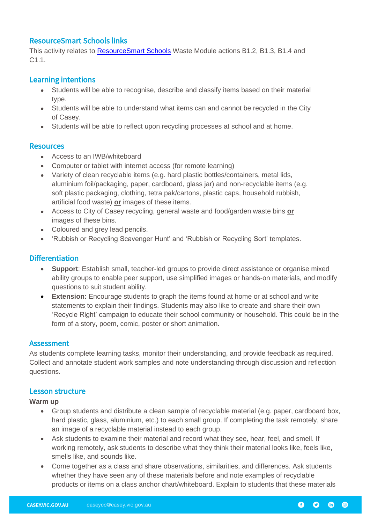## ResourceSmart Schools links

This activity relates to [ResourceSmart](https://www.sustainability.vic.gov.au/School/Get-started) Schools Waste Module actions B1.2, B1.3, B1.4 and C1.1.

## Learning intentions

- Students will be able to recognise, describe and classify items based on their material type.
- Students will be able to understand what items can and cannot be recycled in the City of Casey.
- Students will be able to reflect upon recycling processes at school and at home.

## **Resources**

- Access to an IWB/whiteboard
- Computer or tablet with internet access (for remote learning)
- Variety of clean recyclable items (e.g. hard plastic bottles/containers, metal lids, aluminium foil/packaging, paper, cardboard, glass jar) and non-recyclable items (e.g. soft plastic packaging, clothing, tetra pak/cartons, plastic caps, household rubbish, artificial food waste) **or** images of these items.
- Access to City of Casey recycling, general waste and food/garden waste bins **or** images of these bins.
- Coloured and grey lead pencils.
- 'Rubbish or Recycling Scavenger Hunt' and 'Rubbish or Recycling Sort' templates.

# **Differentiation**

- **Support**: Establish small, teacher-led groups to provide direct assistance or organise mixed ability groups to enable peer support, use simplified images or hands-on materials, and modify questions to suit student ability.
- **Extension:** Encourage students to graph the items found at home or at school and write statements to explain their findings. Students may also like to create and share their own 'Recycle Right' campaign to educate their school community or household. This could be in the form of a story, poem, comic, poster or short animation.

## **Assessment**

As students complete learning tasks, monitor their understanding, and provide feedback as required. Collect and annotate student work samples and note understanding through discussion and reflection questions.

#### Lesson structure

**Warm up**

- Group students and distribute a clean sample of recyclable material (e.g. paper, cardboard box, hard plastic, glass, aluminium, etc.) to each small group. If completing the task remotely, share an image of a recyclable material instead to each group.
- Ask students to examine their material and record what they see, hear, feel, and smell. If working remotely, ask students to describe what they think their material looks like, feels like, smells like, and sounds like.
- Come together as a class and share observations, similarities, and differences. Ask students whether they have seen any of these materials before and note examples of recyclable products or items on a class anchor chart/whiteboard. Explain to students that these materials